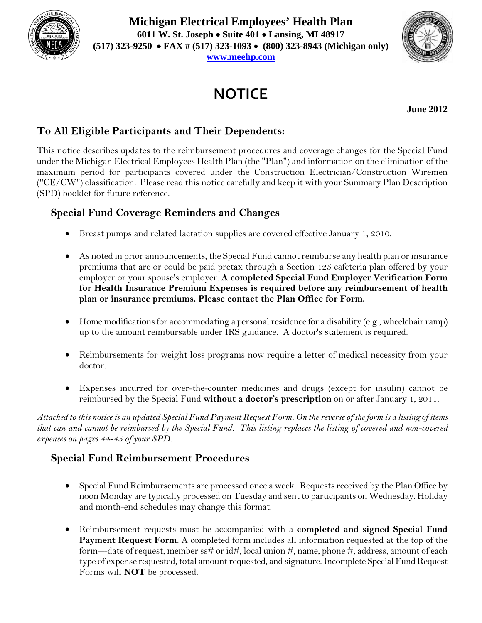

**Michigan Electrical Employees' Health Plan 6011 W. St. Joseph Suite 401 Lansing, MI 48917 (517) 323-9250 FAX # (517) 323-1093 (800) 323-8943 (Michigan only)** 

**www.meehp.com**

# **NOTICE**

**June 2012** 

# **To All Eligible Participants and Their Dependents:**

This notice describes updates to the reimbursement procedures and coverage changes for the Special Fund under the Michigan Electrical Employees Health Plan (the "Plan") and information on the elimination of the maximum period for participants covered under the Construction Electrician/Construction Wiremen ("CE/CW") classification. Please read this notice carefully and keep it with your Summary Plan Description (SPD) booklet for future reference.

## **Special Fund Coverage Reminders and Changes**

- Breast pumps and related lactation supplies are covered effective January 1, 2010.
- As noted in prior announcements, the Special Fund cannot reimburse any health plan or insurance premiums that are or could be paid pretax through a Section 125 cafeteria plan offered by your employer or your spouse's employer. **A completed Special Fund Employer Verification Form for Health Insurance Premium Expenses is required before any reimbursement of health plan or insurance premiums. Please contact the Plan Office for Form.**
- $\bullet$  Home modifications for accommodating a personal residence for a disability (e.g., wheelchair ramp) up to the amount reimbursable under IRS guidance. A doctor's statement is required.
- Reimbursements for weight loss programs now require a letter of medical necessity from your doctor.
- Expenses incurred for over-the-counter medicines and drugs (except for insulin) cannot be reimbursed by the Special Fund **without a doctor's prescription** on or after January 1, 2011.

*Attached to this notice is an updated Special Fund Payment Request Form. On the reverse of the form is a listing of items that can and cannot be reimbursed by the Special Fund. This listing replaces the listing of covered and non-covered expenses on pages 44-45 of your SPD.* 

## **Special Fund Reimbursement Procedures**

- Special Fund Reimbursements are processed once a week. Requests received by the Plan Office by noon Monday are typically processed on Tuesday and sent to participants on Wednesday. Holiday and month-end schedules may change this format.
- Reimbursement requests must be accompanied with a **completed and signed Special Fund Payment Request Form**. A completed form includes all information requested at the top of the form---date of request, member ss# or id#, local union #, name, phone #, address, amount of each type of expense requested, total amount requested, and signature. Incomplete Special Fund Request Forms will **NOT** be processed.

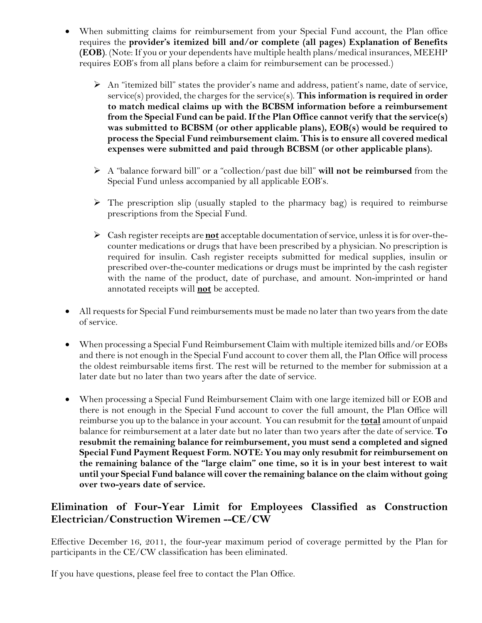- When submitting claims for reimbursement from your Special Fund account, the Plan office requires the **provider's itemized bill and/or complete (all pages) Explanation of Benefits (EOB)**. (Note: If you or your dependents have multiple health plans/medical insurances, MEEHP requires EOB's from all plans before a claim for reimbursement can be processed.)
	- $\triangleright$  An "itemized bill" states the provider's name and address, patient's name, date of service, service(s) provided, the charges for the service(s). **This information is required in order to match medical claims up with the BCBSM information before a reimbursement from the Special Fund can be paid. If the Plan Office cannot verify that the service(s) was submitted to BCBSM (or other applicable plans), EOB(s) would be required to process the Special Fund reimbursement claim. This is to ensure all covered medical expenses were submitted and paid through BCBSM (or other applicable plans).**
	- A "balance forward bill" or a "collection/past due bill" **will not be reimbursed** from the Special Fund unless accompanied by all applicable EOB's.
	- $\triangleright$  The prescription slip (usually stapled to the pharmacy bag) is required to reimburse prescriptions from the Special Fund.
	- Cash register receipts are **not** acceptable documentation of service, unless it is for over-thecounter medications or drugs that have been prescribed by a physician. No prescription is required for insulin. Cash register receipts submitted for medical supplies, insulin or prescribed over-the-counter medications or drugs must be imprinted by the cash register with the name of the product, date of purchase, and amount. Non-imprinted or hand annotated receipts will **not** be accepted.
- All requests for Special Fund reimbursements must be made no later than two years from the date of service.
- When processing a Special Fund Reimbursement Claim with multiple itemized bills and/or EOBs and there is not enough in the Special Fund account to cover them all, the Plan Office will process the oldest reimbursable items first. The rest will be returned to the member for submission at a later date but no later than two years after the date of service.
- When processing a Special Fund Reimbursement Claim with one large itemized bill or EOB and there is not enough in the Special Fund account to cover the full amount, the Plan Office will reimburse you up to the balance in your account. You can resubmit for the **total** amount of unpaid balance for reimbursement at a later date but no later than two years after the date of service. **To resubmit the remaining balance for reimbursement, you must send a completed and signed Special Fund Payment Request Form. NOTE: You may only resubmit for reimbursement on the remaining balance of the "large claim" one time, so it is in your best interest to wait until your Special Fund balance will cover the remaining balance on the claim without going over two-years date of service.**

#### **Elimination of Four-Year Limit for Employees Classified as Construction Electrician/Construction Wiremen --CE/CW**

Effective December 16, 2011, the four-year maximum period of coverage permitted by the Plan for participants in the CE/CW classification has been eliminated.

If you have questions, please feel free to contact the Plan Office.